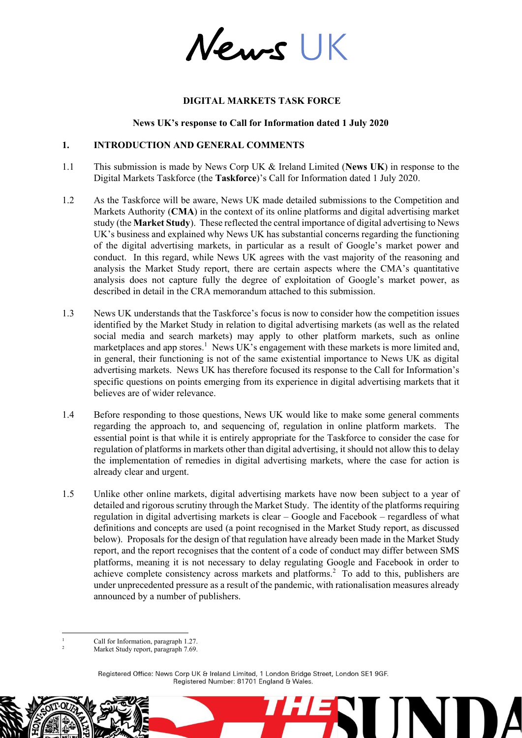News UK

### **DIGITAL MARKETS TASK FORCE**

#### **News UK's response to Call for Information dated 1 July 2020**

#### **1. INTRODUCTION AND GENERAL COMMENTS**

- 1.1 This submission is made by News Corp UK & Ireland Limited (**News UK**) in response to the Digital Markets Taskforce (the **Taskforce**)'s Call for Information dated 1 July 2020.
- 1.2 As the Taskforce will be aware, News UK made detailed submissions to the Competition and Markets Authority (**CMA**) in the context of its online platforms and digital advertising market study (the **Market Study**). These reflected the central importance of digital advertising to News UK's business and explained why News UK has substantial concerns regarding the functioning of the digital advertising markets, in particular as a result of Google's market power and conduct. In this regard, while News UK agrees with the vast majority of the reasoning and analysis the Market Study report, there are certain aspects where the CMA's quantitative analysis does not capture fully the degree of exploitation of Google's market power, as described in detail in the CRA memorandum attached to this submission.
- 1.3 News UK understands that the Taskforce's focus is now to consider how the competition issues identified by the Market Study in relation to digital advertising markets (as well as the related social media and search markets) may apply to other platform markets, such as online marketplaces and app stores.<sup>1</sup> News UK's engagement with these markets is more limited and, in general, their functioning is not of the same existential importance to News UK as digital advertising markets. News UK has therefore focused its response to the Call for Information's specific questions on points emerging from its experience in digital advertising markets that it believes are of wider relevance.
- 1.4 Before responding to those questions, News UK would like to make some general comments regarding the approach to, and sequencing of, regulation in online platform markets. The essential point is that while it is entirely appropriate for the Taskforce to consider the case for regulation of platforms in markets other than digital advertising, it should not allow this to delay the implementation of remedies in digital advertising markets, where the case for action is already clear and urgent.
- 1.5 Unlike other online markets, digital advertising markets have now been subject to a year of detailed and rigorous scrutiny through the Market Study. The identity of the platforms requiring regulation in digital advertising markets is clear – Google and Facebook – regardless of what definitions and concepts are used (a point recognised in the Market Study report, as discussed below). Proposals for the design of that regulation have already been made in the Market Study report, and the report recognises that the content of a code of conduct may differ between SMS platforms, meaning it is not necessary to delay regulating Google and Facebook in order to achieve complete consistency across markets and platforms.<sup>2</sup> To add to this, publishers are under unprecedented pressure as a result of the pandemic, with rationalisation measures already announced by a number of publishers.

Registered Office: News Corp UK & Ireland Limited, 1 London Bridge Street, London SE1 9GF. Registered Number: 81701 England & Wales.

HE

<sup>-</sup><sup>1</sup> Call for Information, paragraph 1.27.

Market Study report, paragraph 7.69.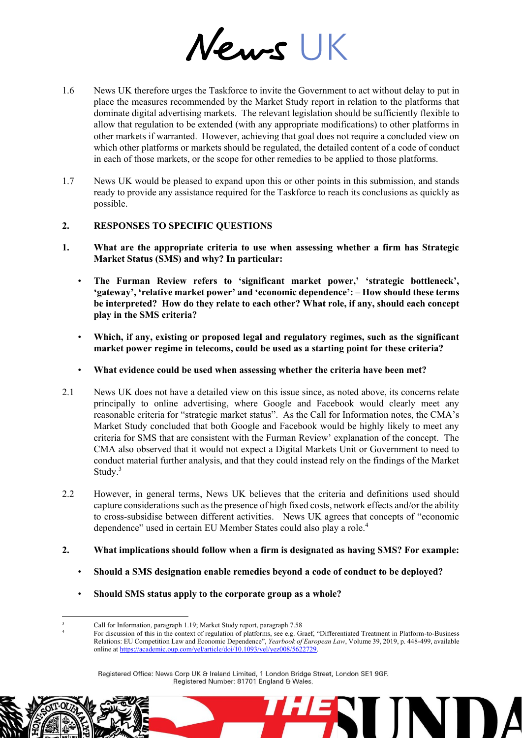News UK

- 1.6 News UK therefore urges the Taskforce to invite the Government to act without delay to put in place the measures recommended by the Market Study report in relation to the platforms that dominate digital advertising markets. The relevant legislation should be sufficiently flexible to allow that regulation to be extended (with any appropriate modifications) to other platforms in other markets if warranted. However, achieving that goal does not require a concluded view on which other platforms or markets should be regulated, the detailed content of a code of conduct in each of those markets, or the scope for other remedies to be applied to those platforms.
- 1.7 News UK would be pleased to expand upon this or other points in this submission, and stands ready to provide any assistance required for the Taskforce to reach its conclusions as quickly as possible.

# **2. RESPONSES TO SPECIFIC QUESTIONS**

- **1. What are the appropriate criteria to use when assessing whether a firm has Strategic Market Status (SMS) and why? In particular:** 
	- **The Furman Review refers to 'significant market power,' 'strategic bottleneck', 'gateway', 'relative market power' and 'economic dependence': – How should these terms be interpreted? How do they relate to each other? What role, if any, should each concept play in the SMS criteria?**
	- **Which, if any, existing or proposed legal and regulatory regimes, such as the significant market power regime in telecoms, could be used as a starting point for these criteria?**
	- **What evidence could be used when assessing whether the criteria have been met?**
- 2.1 News UK does not have a detailed view on this issue since, as noted above, its concerns relate principally to online advertising, where Google and Facebook would clearly meet any reasonable criteria for "strategic market status". As the Call for Information notes, the CMA's Market Study concluded that both Google and Facebook would be highly likely to meet any criteria for SMS that are consistent with the Furman Review' explanation of the concept. The CMA also observed that it would not expect a Digital Markets Unit or Government to need to conduct material further analysis, and that they could instead rely on the findings of the Market Study.<sup>3</sup>
- 2.2 However, in general terms, News UK believes that the criteria and definitions used should capture considerations such as the presence of high fixed costs, network effects and/or the ability to cross-subsidise between different activities. News UK agrees that concepts of "economic dependence" used in certain EU Member States could also play a role.<sup>4</sup>
- **2. What implications should follow when a firm is designated as having SMS? For example:**
	- **Should a SMS designation enable remedies beyond a code of conduct to be deployed?**
	- **Should SMS status apply to the corporate group as a whole?**

HE

Registered Office: News Corp UK & Ireland Limited, 1 London Bridge Street, London SE1 9GF. Registered Number: 81701 England & Wales.

<sup>&</sup>lt;u>.</u> <sup>3</sup> Call for Information, paragraph 1.19; Market Study report, paragraph 7.58

<sup>4</sup> For discussion of this in the context of regulation of platforms, see e.g. Graef, "Differentiated Treatment in Platform-to-Business Relations: EU Competition Law and Economic Dependence", *Yearbook of European Law*, Volume 39, 2019, p. 448-499, available online a[t https://academic.oup.com/yel/article/doi/10.1093/yel/yez008/5622729.](https://academic.oup.com/yel/article/doi/10.1093/yel/yez008/5622729)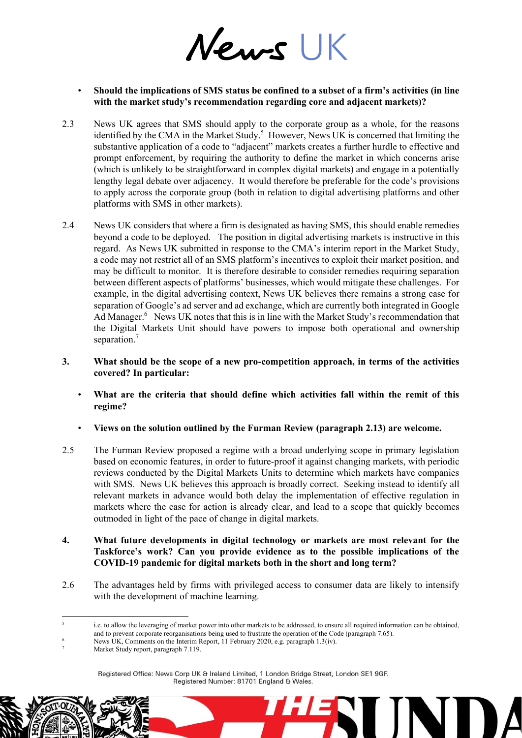News UK

- **Should the implications of SMS status be confined to a subset of a firm's activities (in line with the market study's recommendation regarding core and adjacent markets)?**
- 2.3 News UK agrees that SMS should apply to the corporate group as a whole, for the reasons identified by the CMA in the Market Study.<sup>5</sup> However, News UK is concerned that limiting the substantive application of a code to "adjacent" markets creates a further hurdle to effective and prompt enforcement, by requiring the authority to define the market in which concerns arise (which is unlikely to be straightforward in complex digital markets) and engage in a potentially lengthy legal debate over adjacency. It would therefore be preferable for the code's provisions to apply across the corporate group (both in relation to digital advertising platforms and other platforms with SMS in other markets).
- 2.4 News UK considers that where a firm is designated as having SMS, this should enable remedies beyond a code to be deployed. The position in digital advertising markets is instructive in this regard. As News UK submitted in response to the CMA's interim report in the Market Study, a code may not restrict all of an SMS platform's incentives to exploit their market position, and may be difficult to monitor. It is therefore desirable to consider remedies requiring separation between different aspects of platforms' businesses, which would mitigate these challenges. For example, in the digital advertising context, News UK believes there remains a strong case for separation of Google's ad server and ad exchange, which are currently both integrated in Google Ad Manager.<sup>6</sup> News UK notes that this is in line with the Market Study's recommendation that the Digital Markets Unit should have powers to impose both operational and ownership separation.<sup>7</sup>

### **3. What should be the scope of a new pro-competition approach, in terms of the activities covered? In particular:**

- **What are the criteria that should define which activities fall within the remit of this regime?**
- **Views on the solution outlined by the Furman Review (paragraph 2.13) are welcome.**
- 2.5 The Furman Review proposed a regime with a broad underlying scope in primary legislation based on economic features, in order to future-proof it against changing markets, with periodic reviews conducted by the Digital Markets Units to determine which markets have companies with SMS. News UK believes this approach is broadly correct. Seeking instead to identify all relevant markets in advance would both delay the implementation of effective regulation in markets where the case for action is already clear, and lead to a scope that quickly becomes outmoded in light of the pace of change in digital markets.
- **4. What future developments in digital technology or markets are most relevant for the Taskforce's work? Can you provide evidence as to the possible implications of the COVID-19 pandemic for digital markets both in the short and long term?**
- 2.6 The advantages held by firms with privileged access to consumer data are likely to intensify with the development of machine learning.

HE

<u>.</u>

<sup>5</sup> i.e. to allow the leveraging of market power into other markets to be addressed, to ensure all required information can be obtained, and to prevent corporate reorganisations being used to frustrate the operation of the Code (paragraph 7.65).

News UK, Comments on the Interim Report, 11 February 2020, e.g. paragraph 1.3(iv).

Market Study report, paragraph 7.119.

Registered Office: News Corp UK & Ireland Limited, 1 London Bridge Street, London SE1 9GF. Registered Number: 81701 England & Wales.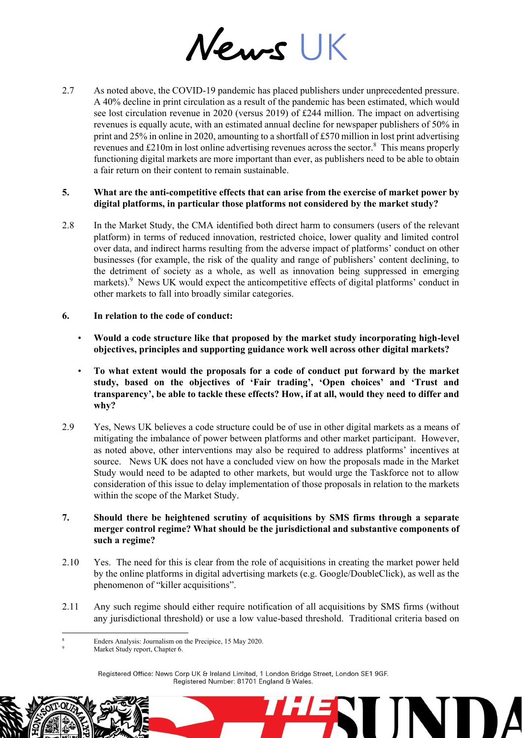News UK

2.7 As noted above, the COVID-19 pandemic has placed publishers under unprecedented pressure. A 40% decline in print circulation as a result of the pandemic has been estimated, which would see lost circulation revenue in 2020 (versus 2019) of £244 million. The impact on advertising revenues is equally acute, with an estimated annual decline for newspaper publishers of 50% in print and 25% in online in 2020, amounting to a shortfall of £570 million in lost print advertising revenues and £210m in lost online advertising revenues across the sector.<sup>8</sup> This means properly functioning digital markets are more important than ever, as publishers need to be able to obtain a fair return on their content to remain sustainable.

# **5. What are the anti-competitive effects that can arise from the exercise of market power by digital platforms, in particular those platforms not considered by the market study?**

- 2.8 In the Market Study, the CMA identified both direct harm to consumers (users of the relevant platform) in terms of reduced innovation, restricted choice, lower quality and limited control over data, and indirect harms resulting from the adverse impact of platforms' conduct on other businesses (for example, the risk of the quality and range of publishers' content declining, to the detriment of society as a whole, as well as innovation being suppressed in emerging markets).<sup>9</sup> News UK would expect the anticompetitive effects of digital platforms' conduct in other markets to fall into broadly similar categories.
- **6. In relation to the code of conduct:** 
	- **Would a code structure like that proposed by the market study incorporating high-level objectives, principles and supporting guidance work well across other digital markets?**
	- **To what extent would the proposals for a code of conduct put forward by the market study, based on the objectives of 'Fair trading', 'Open choices' and 'Trust and transparency', be able to tackle these effects? How, if at all, would they need to differ and why?**
- 2.9 Yes, News UK believes a code structure could be of use in other digital markets as a means of mitigating the imbalance of power between platforms and other market participant. However, as noted above, other interventions may also be required to address platforms' incentives at source. News UK does not have a concluded view on how the proposals made in the Market Study would need to be adapted to other markets, but would urge the Taskforce not to allow consideration of this issue to delay implementation of those proposals in relation to the markets within the scope of the Market Study.

# **7. Should there be heightened scrutiny of acquisitions by SMS firms through a separate merger control regime? What should be the jurisdictional and substantive components of such a regime?**

- 2.10 Yes. The need for this is clear from the role of acquisitions in creating the market power held by the online platforms in digital advertising markets (e.g. Google/DoubleClick), as well as the phenomenon of "killer acquisitions".
- 2.11 Any such regime should either require notification of all acquisitions by SMS firms (without any jurisdictional threshold) or use a low value-based threshold. Traditional criteria based on

HE

Registered Office: News Corp UK & Ireland Limited, 1 London Bridge Street, London SE1 9GF. Registered Number: 81701 England & Wales.

<sup>-</sup>Enders Analysis: Journalism on the Precipice, 15 May 2020.

Market Study report, Chapter 6.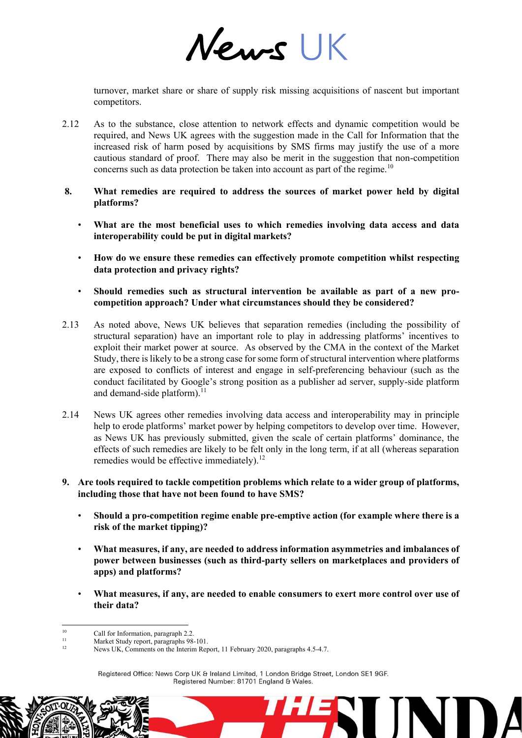News UK

turnover, market share or share of supply risk missing acquisitions of nascent but important competitors.

- 2.12 As to the substance, close attention to network effects and dynamic competition would be required, and News UK agrees with the suggestion made in the Call for Information that the increased risk of harm posed by acquisitions by SMS firms may justify the use of a more cautious standard of proof. There may also be merit in the suggestion that non-competition concerns such as data protection be taken into account as part of the regime.<sup>10</sup>
- **8. What remedies are required to address the sources of market power held by digital platforms?**
	- **What are the most beneficial uses to which remedies involving data access and data interoperability could be put in digital markets?**
	- **How do we ensure these remedies can effectively promote competition whilst respecting data protection and privacy rights?**
	- **Should remedies such as structural intervention be available as part of a new procompetition approach? Under what circumstances should they be considered?**
- 2.13 As noted above, News UK believes that separation remedies (including the possibility of structural separation) have an important role to play in addressing platforms' incentives to exploit their market power at source. As observed by the CMA in the context of the Market Study, there is likely to be a strong case for some form of structural intervention where platforms are exposed to conflicts of interest and engage in self-preferencing behaviour (such as the conduct facilitated by Google's strong position as a publisher ad server, supply-side platform and demand-side platform).<sup>11</sup>
- 2.14 News UK agrees other remedies involving data access and interoperability may in principle help to erode platforms' market power by helping competitors to develop over time. However, as News UK has previously submitted, given the scale of certain platforms' dominance, the effects of such remedies are likely to be felt only in the long term, if at all (whereas separation remedies would be effective immediately).<sup>12</sup>
- **9. Are tools required to tackle competition problems which relate to a wider group of platforms, including those that have not been found to have SMS?**
	- **Should a pro-competition regime enable pre-emptive action (for example where there is a risk of the market tipping)?**
	- **What measures, if any, are needed to address information asymmetries and imbalances of power between businesses (such as third-party sellers on marketplaces and providers of apps) and platforms?**
	- **What measures, if any, are needed to enable consumers to exert more control over use of their data?**

HE

Registered Office: News Corp UK & Ireland Limited, 1 London Bridge Street, London SE1 9GF. Registered Number: 81701 England & Wales.

 $\overline{10}$ <sup>10</sup> Call for Information, paragraph 2.2.<br>Market Study report, paragraphs  $\frac{1}{2}$ 

<sup>&</sup>lt;sup>11</sup> Market Study report, paragraphs 98-101.

News UK, Comments on the Interim Report, 11 February 2020, paragraphs 4.5-4.7.